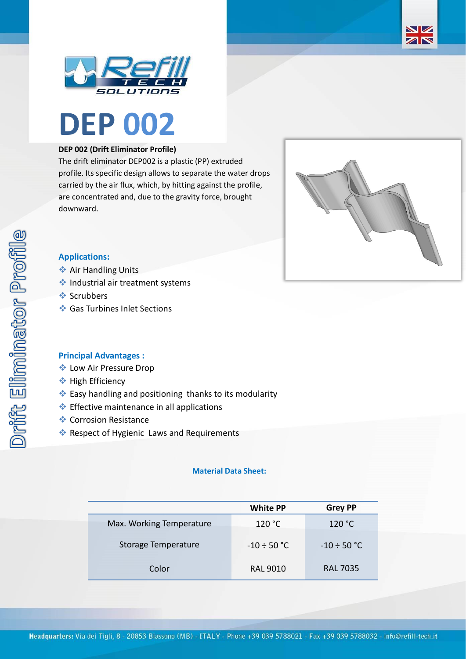





## **DEP 002 (Drift Eliminator Profile)**

The drift eliminator DEP002 is a plastic (PP) extruded profile. Its specific design allows to separate the water drops carried by the air flux, which, by hitting against the profile, are concentrated and, due to the gravity force, brought downward.



# **Applications:**

- **❖ Air Handling Units**
- ❖ Industrial air treatment systems
- ❖ Scrubbers
- ❖ Gas Turbines Inlet Sections

#### **Principal Advantages :**

- ❖ Low Air Pressure Drop
- ❖ High Efficiency
- ❖ Easy handling and positioning thanks to its modularity
- ❖ Effective maintenance in all applications
- ❖ Corrosion Resistance
- ❖ Respect of Hygienic Laws and Requirements

## **Material Data Sheet:**

|                          | <b>White PP</b>  | <b>Grey PP</b>   |
|--------------------------|------------------|------------------|
| Max. Working Temperature | 120 °C           | 120 °C           |
| Storage Temperature      | $-10 \div 50$ °C | $-10 \div 50$ °C |
| Color                    | <b>RAL 9010</b>  | <b>RAL 7035</b>  |